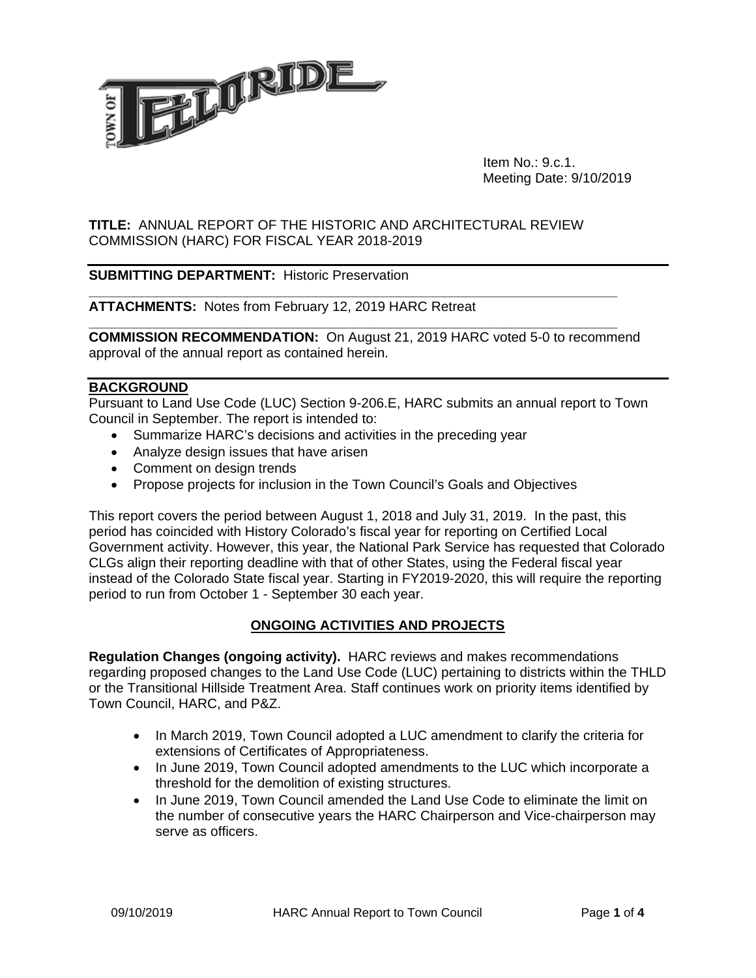

 Item No.: 9.c.1. Meeting Date: 9/10/2019

## **TITLE:** ANNUAL REPORT OF THE HISTORIC AND ARCHITECTURAL REVIEW COMMISSION (HARC) FOR FISCAL YEAR 2018-2019

## **SUBMITTING DEPARTMENT:** Historic Preservation

#### **ATTACHMENTS:** Notes from February 12, 2019 HARC Retreat

**COMMISSION RECOMMENDATION:** On August 21, 2019 HARC voted 5-0 to recommend approval of the annual report as contained herein.

**\_\_\_\_\_\_\_\_\_\_\_\_\_\_\_\_\_\_\_\_\_\_\_\_\_\_\_\_\_\_\_\_\_\_\_\_\_\_\_\_\_\_\_\_\_\_\_\_\_\_\_\_\_\_\_\_\_\_\_\_\_\_\_\_\_\_\_\_\_\_** 

**\_\_\_\_\_\_\_\_\_\_\_\_\_\_\_\_\_\_\_\_\_\_\_\_\_\_\_\_\_\_\_\_\_\_\_\_\_\_\_\_\_\_\_\_\_\_\_\_\_\_\_\_\_\_\_\_\_\_\_\_\_\_\_\_\_\_\_\_\_\_** 

#### **BACKGROUND**

Pursuant to Land Use Code (LUC) Section 9-206.E, HARC submits an annual report to Town Council in September. The report is intended to:

- Summarize HARC's decisions and activities in the preceding year
- Analyze design issues that have arisen
- Comment on design trends
- Propose projects for inclusion in the Town Council's Goals and Objectives

This report covers the period between August 1, 2018 and July 31, 2019. In the past, this period has coincided with History Colorado's fiscal year for reporting on Certified Local Government activity. However, this year, the National Park Service has requested that Colorado CLGs align their reporting deadline with that of other States, using the Federal fiscal year instead of the Colorado State fiscal year. Starting in FY2019-2020, this will require the reporting period to run from October 1 - September 30 each year.

## **ONGOING ACTIVITIES AND PROJECTS**

**Regulation Changes (ongoing activity).** HARC reviews and makes recommendations regarding proposed changes to the Land Use Code (LUC) pertaining to districts within the THLD or the Transitional Hillside Treatment Area. Staff continues work on priority items identified by Town Council, HARC, and P&Z.

- In March 2019, Town Council adopted a LUC amendment to clarify the criteria for extensions of Certificates of Appropriateness.
- In June 2019, Town Council adopted amendments to the LUC which incorporate a threshold for the demolition of existing structures.
- In June 2019, Town Council amended the Land Use Code to eliminate the limit on the number of consecutive years the HARC Chairperson and Vice-chairperson may serve as officers.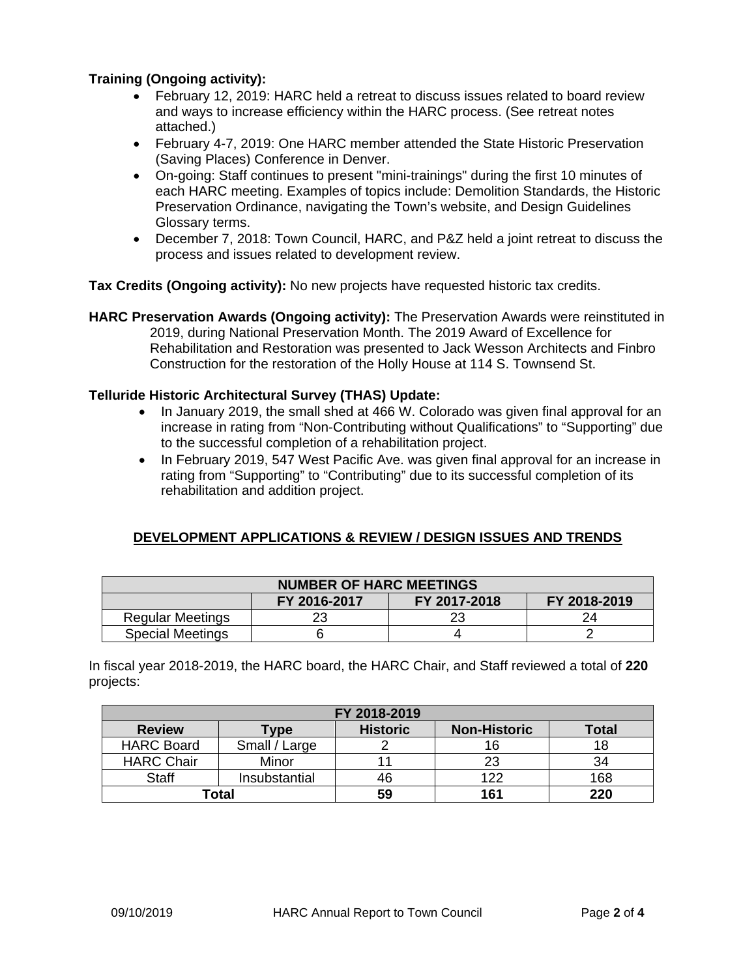## **Training (Ongoing activity):**

- February 12, 2019: HARC held a retreat to discuss issues related to board review and ways to increase efficiency within the HARC process. (See retreat notes attached.)
- February 4-7, 2019: One HARC member attended the State Historic Preservation (Saving Places) Conference in Denver.
- On-going: Staff continues to present "mini-trainings" during the first 10 minutes of each HARC meeting. Examples of topics include: Demolition Standards, the Historic Preservation Ordinance, navigating the Town's website, and Design Guidelines Glossary terms.
- December 7, 2018: Town Council, HARC, and P&Z held a joint retreat to discuss the process and issues related to development review.

**Tax Credits (Ongoing activity):** No new projects have requested historic tax credits.

**HARC Preservation Awards (Ongoing activity):** The Preservation Awards were reinstituted in 2019, during National Preservation Month. The 2019 Award of Excellence for Rehabilitation and Restoration was presented to Jack Wesson Architects and Finbro Construction for the restoration of the Holly House at 114 S. Townsend St.

### **Telluride Historic Architectural Survey (THAS) Update:**

- In January 2019, the small shed at 466 W. Colorado was given final approval for an increase in rating from "Non-Contributing without Qualifications" to "Supporting" due to the successful completion of a rehabilitation project.
- In February 2019, 547 West Pacific Ave. was given final approval for an increase in rating from "Supporting" to "Contributing" due to its successful completion of its rehabilitation and addition project.

## **DEVELOPMENT APPLICATIONS & REVIEW / DESIGN ISSUES AND TRENDS**

| <b>NUMBER OF HARC MEETINGS</b> |              |              |              |  |  |  |  |
|--------------------------------|--------------|--------------|--------------|--|--|--|--|
|                                | FY 2016-2017 | FY 2017-2018 | FY 2018-2019 |  |  |  |  |
| <b>Regular Meetings</b>        |              |              |              |  |  |  |  |
| <b>Special Meetings</b>        |              |              |              |  |  |  |  |

In fiscal year 2018-2019, the HARC board, the HARC Chair, and Staff reviewed a total of **220** projects:

| FY 2018-2019      |               |                 |                     |              |  |  |
|-------------------|---------------|-----------------|---------------------|--------------|--|--|
| <b>Review</b>     | <b>Type</b>   | <b>Historic</b> | <b>Non-Historic</b> | <b>Total</b> |  |  |
| <b>HARC Board</b> | Small / Large |                 |                     | 18           |  |  |
| <b>HARC Chair</b> | Minor         |                 | 23                  | 34           |  |  |
| <b>Staff</b>      | Insubstantial | 46              | 122                 | 168          |  |  |
| Total             |               | 59              | 161                 | 220          |  |  |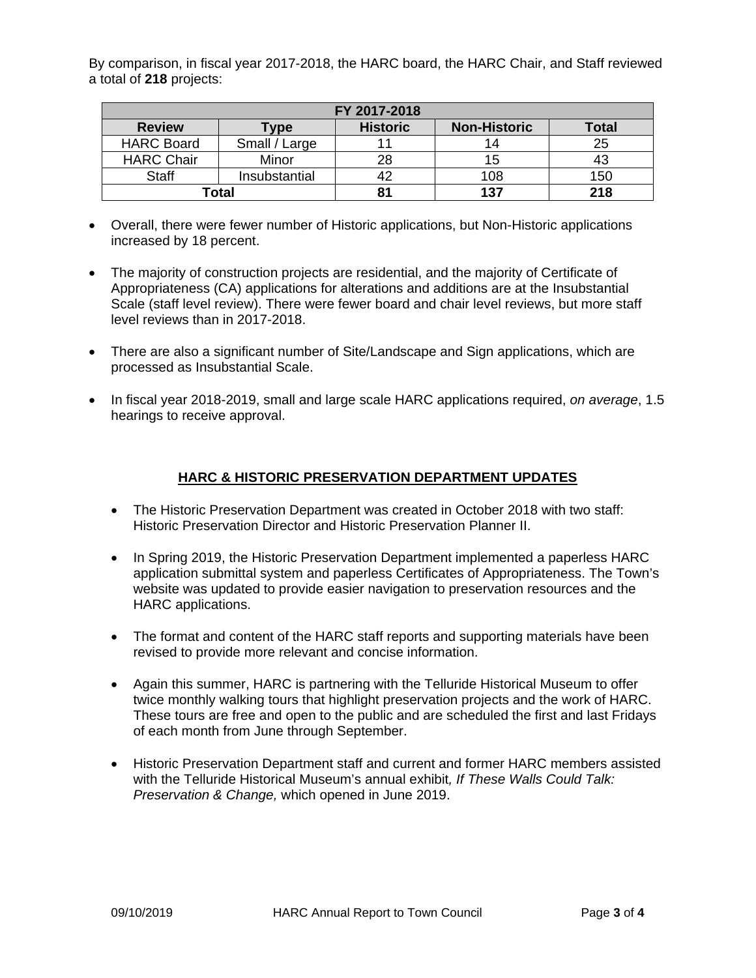By comparison, in fiscal year 2017-2018, the HARC board, the HARC Chair, and Staff reviewed a total of **218** projects:

| FY 2017-2018      |               |                 |                     |       |  |  |
|-------------------|---------------|-----------------|---------------------|-------|--|--|
| <b>Review</b>     | Гуре          | <b>Historic</b> | <b>Non-Historic</b> | Total |  |  |
| <b>HARC Board</b> | Small / Large |                 |                     | 25    |  |  |
| <b>HARC Chair</b> | Minor         | 28              |                     |       |  |  |
| <b>Staff</b>      | Insubstantial | 42              | 108                 | 150   |  |  |
| Total             |               | 81              | 137                 | 218   |  |  |

- Overall, there were fewer number of Historic applications, but Non-Historic applications increased by 18 percent.
- The majority of construction projects are residential, and the majority of Certificate of Appropriateness (CA) applications for alterations and additions are at the Insubstantial Scale (staff level review). There were fewer board and chair level reviews, but more staff level reviews than in 2017-2018.
- There are also a significant number of Site/Landscape and Sign applications, which are processed as Insubstantial Scale.
- In fiscal year 2018-2019, small and large scale HARC applications required, *on average*, 1.5 hearings to receive approval.

## **HARC & HISTORIC PRESERVATION DEPARTMENT UPDATES**

- The Historic Preservation Department was created in October 2018 with two staff: Historic Preservation Director and Historic Preservation Planner II.
- In Spring 2019, the Historic Preservation Department implemented a paperless HARC application submittal system and paperless Certificates of Appropriateness. The Town's website was updated to provide easier navigation to preservation resources and the HARC applications.
- The format and content of the HARC staff reports and supporting materials have been revised to provide more relevant and concise information.
- Again this summer, HARC is partnering with the Telluride Historical Museum to offer twice monthly walking tours that highlight preservation projects and the work of HARC. These tours are free and open to the public and are scheduled the first and last Fridays of each month from June through September.
- Historic Preservation Department staff and current and former HARC members assisted with the Telluride Historical Museum's annual exhibit*, If These Walls Could Talk: Preservation & Change,* which opened in June 2019.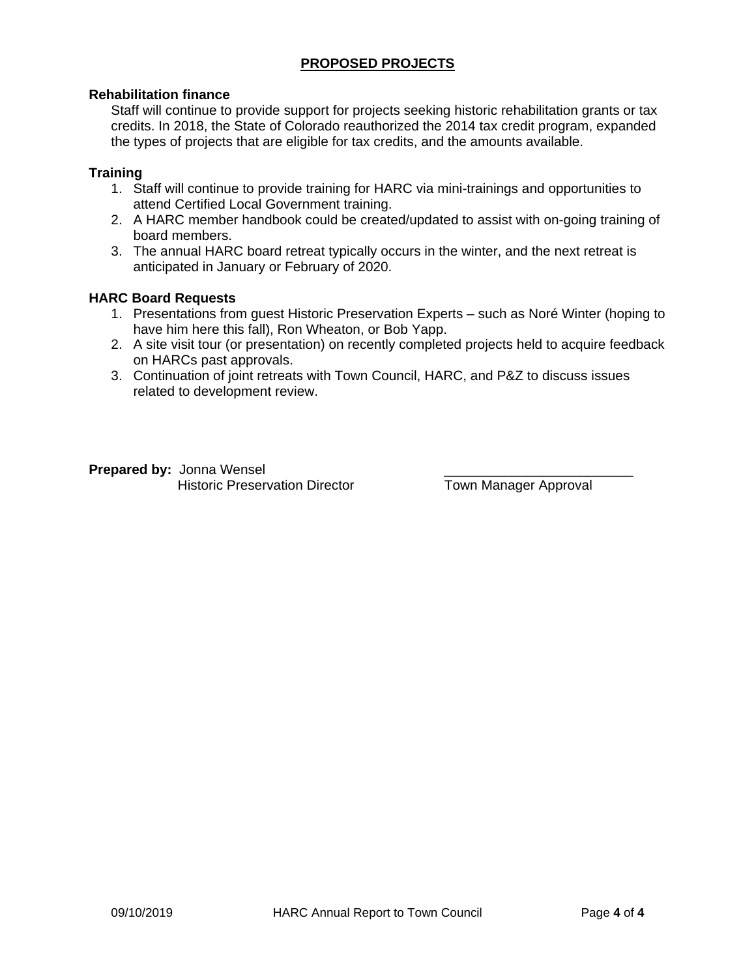# **PROPOSED PROJECTS**

## **Rehabilitation finance**

Staff will continue to provide support for projects seeking historic rehabilitation grants or tax credits. In 2018, the State of Colorado reauthorized the 2014 tax credit program, expanded the types of projects that are eligible for tax credits, and the amounts available.

### **Training**

- 1. Staff will continue to provide training for HARC via mini-trainings and opportunities to attend Certified Local Government training.
- 2. A HARC member handbook could be created/updated to assist with on-going training of board members.
- 3. The annual HARC board retreat typically occurs in the winter, and the next retreat is anticipated in January or February of 2020.

### **HARC Board Requests**

- 1. Presentations from guest Historic Preservation Experts such as Noré Winter (hoping to have him here this fall), Ron Wheaton, or Bob Yapp.
- 2. A site visit tour (or presentation) on recently completed projects held to acquire feedback on HARCs past approvals.
- 3. Continuation of joint retreats with Town Council, HARC, and P&Z to discuss issues related to development review.

**Prepared by: Jonna Wensel** Historic Preservation Director Town Manager Approval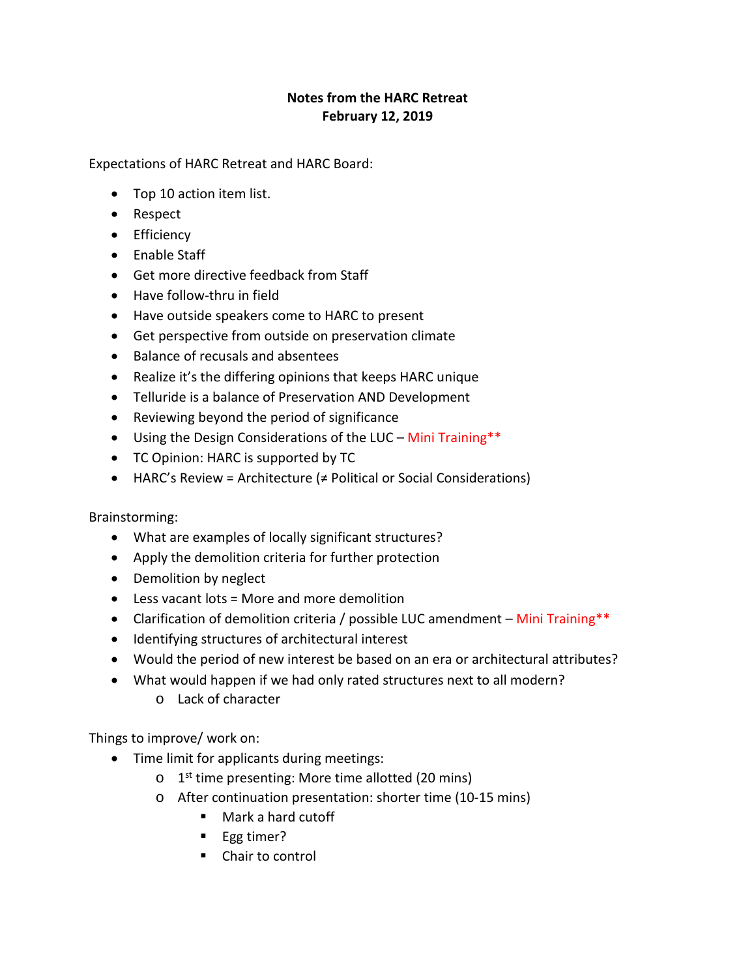# **Notes from the HARC Retreat February 12, 2019**

Expectations of HARC Retreat and HARC Board:

- Top 10 action item list.
- Respect
- Efficiency
- Enable Staff
- Get more directive feedback from Staff
- Have follow-thru in field
- Have outside speakers come to HARC to present
- Get perspective from outside on preservation climate
- Balance of recusals and absentees
- Realize it's the differing opinions that keeps HARC unique
- Telluride is a balance of Preservation AND Development
- Reviewing beyond the period of significance
- Using the Design Considerations of the LUC Mini Training\*\*
- TC Opinion: HARC is supported by TC
- HARC's Review = Architecture  $($   $\neq$  Political or Social Considerations)

Brainstorming:

- What are examples of locally significant structures?
- Apply the demolition criteria for further protection
- Demolition by neglect
- Less vacant lots = More and more demolition
- Clarification of demolition criteria / possible LUC amendment Mini Training\*\*
- Identifying structures of architectural interest
- Would the period of new interest be based on an era or architectural attributes?
- What would happen if we had only rated structures next to all modern?
	- o Lack of character

Things to improve/ work on:

- Time limit for applicants during meetings:
	- $o$  1<sup>st</sup> time presenting: More time allotted (20 mins)
	- o After continuation presentation: shorter time (10-15 mins)
		- Mark a hard cutoff
		- Egg timer?
		- Chair to control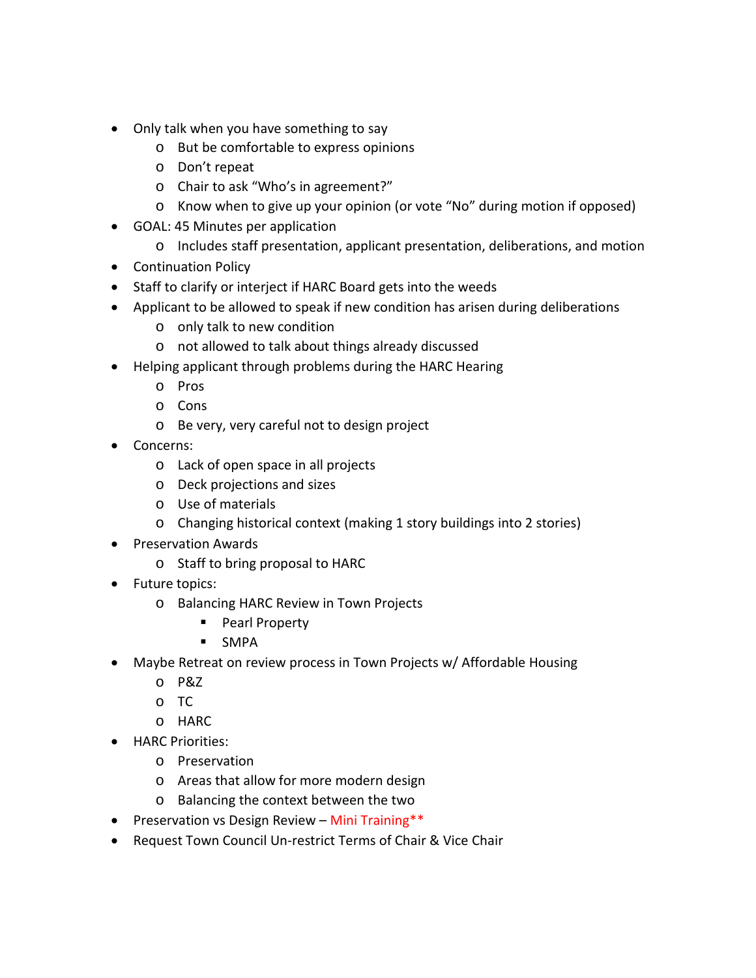- Only talk when you have something to say
	- o But be comfortable to express opinions
	- o Don't repeat
	- o Chair to ask "Who's in agreement?"
	- o Know when to give up your opinion (or vote "No" during motion if opposed)
- GOAL: 45 Minutes per application
	- o Includes staff presentation, applicant presentation, deliberations, and motion
- Continuation Policy
- Staff to clarify or interject if HARC Board gets into the weeds
- Applicant to be allowed to speak if new condition has arisen during deliberations
	- o only talk to new condition
	- o not allowed to talk about things already discussed
- Helping applicant through problems during the HARC Hearing
	- o Pros
	- o Cons
		- o Be very, very careful not to design project
- Concerns:
	- o Lack of open space in all projects
	- o Deck projections and sizes
	- o Use of materials
	- o Changing historical context (making 1 story buildings into 2 stories)
- Preservation Awards
	- o Staff to bring proposal to HARC
- Future topics:
	- o Balancing HARC Review in Town Projects
		- **Pearl Property**
		- **SMPA**
- Maybe Retreat on review process in Town Projects w/ Affordable Housing
	- o P&Z
	- o TC
	- o HARC
- HARC Priorities:
	- o Preservation
	- o Areas that allow for more modern design
	- o Balancing the context between the two
- Preservation vs Design Review Mini Training\*\*
- Request Town Council Un-restrict Terms of Chair & Vice Chair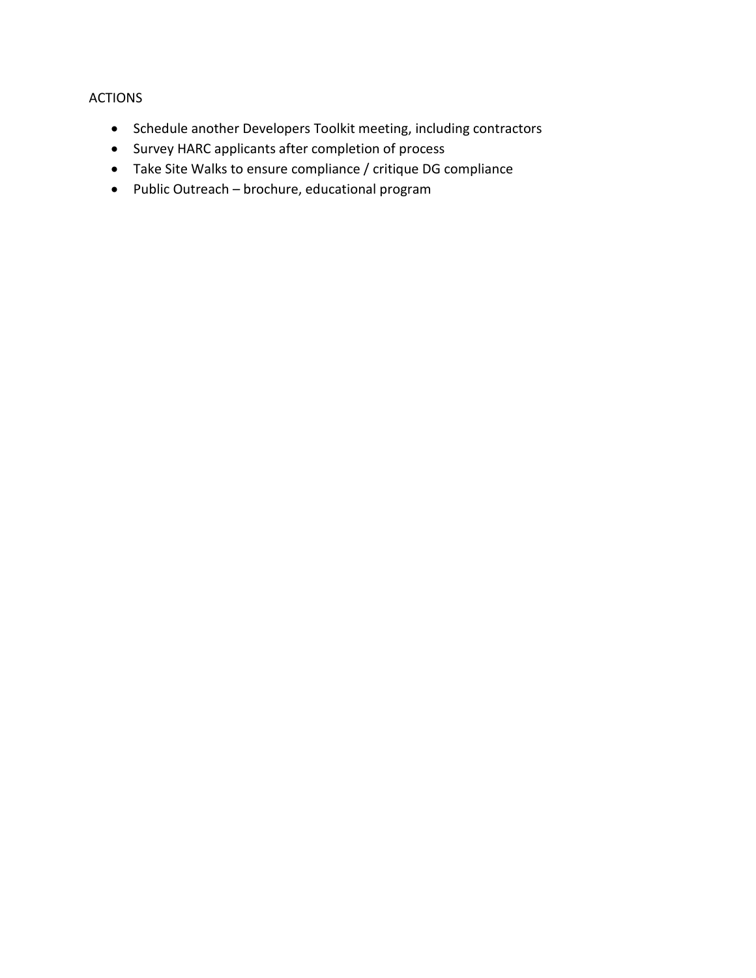# ACTIONS

- Schedule another Developers Toolkit meeting, including contractors
- Survey HARC applicants after completion of process
- Take Site Walks to ensure compliance / critique DG compliance
- Public Outreach brochure, educational program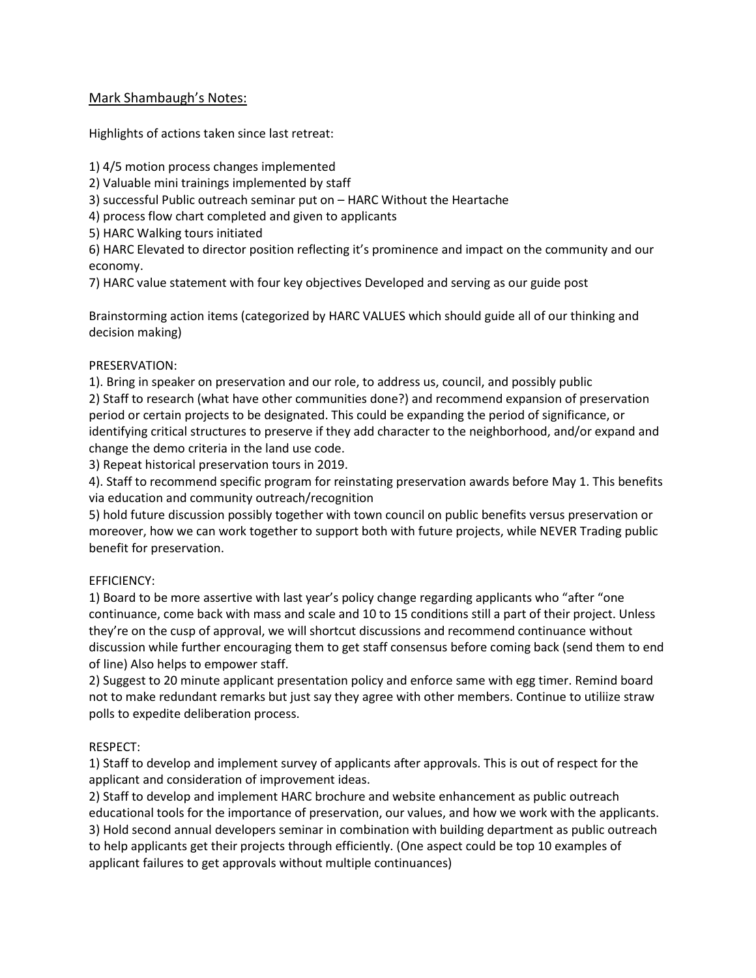## Mark Shambaugh's Notes:

Highlights of actions taken since last retreat:

1) 4/5 motion process changes implemented

2) Valuable mini trainings implemented by staff

3) successful Public outreach seminar put on – HARC Without the Heartache

4) process flow chart completed and given to applicants

5) HARC Walking tours initiated

6) HARC Elevated to director position reflecting it's prominence and impact on the community and our economy.

7) HARC value statement with four key objectives Developed and serving as our guide post

Brainstorming action items (categorized by HARC VALUES which should guide all of our thinking and decision making)

## PRESERVATION:

1). Bring in speaker on preservation and our role, to address us, council, and possibly public 2) Staff to research (what have other communities done?) and recommend expansion of preservation period or certain projects to be designated. This could be expanding the period of significance, or identifying critical structures to preserve if they add character to the neighborhood, and/or expand and change the demo criteria in the land use code.

3) Repeat historical preservation tours in 2019.

4). Staff to recommend specific program for reinstating preservation awards before May 1. This benefits via education and community outreach/recognition

5) hold future discussion possibly together with town council on public benefits versus preservation or moreover, how we can work together to support both with future projects, while NEVER Trading public benefit for preservation.

# EFFICIENCY:

1) Board to be more assertive with last year's policy change regarding applicants who "after "one continuance, come back with mass and scale and 10 to 15 conditions still a part of their project. Unless they're on the cusp of approval, we will shortcut discussions and recommend continuance without discussion while further encouraging them to get staff consensus before coming back (send them to end of line) Also helps to empower staff.

2) Suggest to 20 minute applicant presentation policy and enforce same with egg timer. Remind board not to make redundant remarks but just say they agree with other members. Continue to utiliize straw polls to expedite deliberation process.

# RESPECT:

1) Staff to develop and implement survey of applicants after approvals. This is out of respect for the applicant and consideration of improvement ideas.

2) Staff to develop and implement HARC brochure and website enhancement as public outreach educational tools for the importance of preservation, our values, and how we work with the applicants. 3) Hold second annual developers seminar in combination with building department as public outreach to help applicants get their projects through efficiently. (One aspect could be top 10 examples of applicant failures to get approvals without multiple continuances)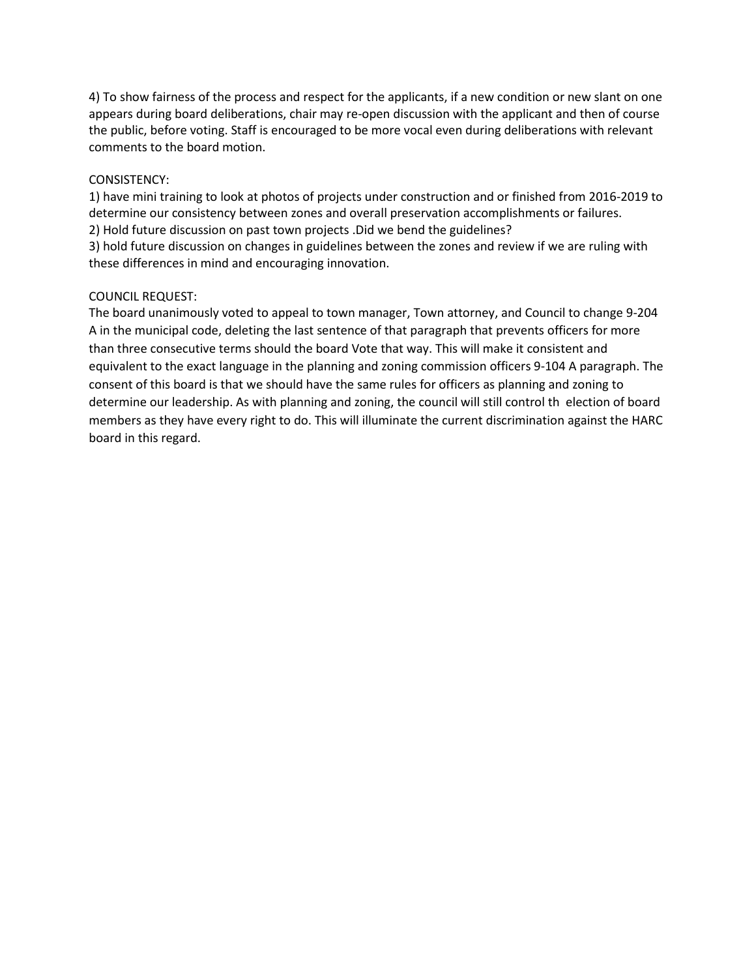4) To show fairness of the process and respect for the applicants, if a new condition or new slant on one appears during board deliberations, chair may re-open discussion with the applicant and then of course the public, before voting. Staff is encouraged to be more vocal even during deliberations with relevant comments to the board motion.

#### CONSISTENCY:

1) have mini training to look at photos of projects under construction and or finished from 2016-2019 to determine our consistency between zones and overall preservation accomplishments or failures. 2) Hold future discussion on past town projects .Did we bend the guidelines?

3) hold future discussion on changes in guidelines between the zones and review if we are ruling with these differences in mind and encouraging innovation.

#### COUNCIL REQUEST:

The board unanimously voted to appeal to town manager, Town attorney, and Council to change 9-204 A in the municipal code, deleting the last sentence of that paragraph that prevents officers for more than three consecutive terms should the board Vote that way. This will make it consistent and equivalent to the exact language in the planning and zoning commission officers 9-104 A paragraph. The consent of this board is that we should have the same rules for officers as planning and zoning to determine our leadership. As with planning and zoning, the council will still control th election of board members as they have every right to do. This will illuminate the current discrimination against the HARC board in this regard.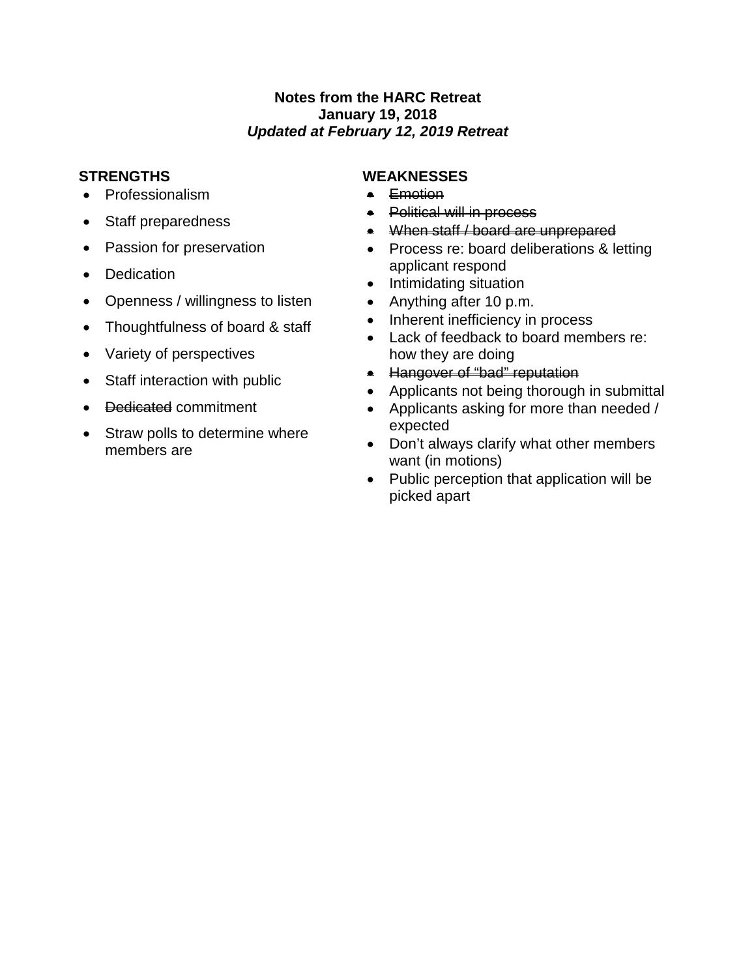# **Notes from the HARC Retreat January 19, 2018** *Updated at February 12, 2019 Retreat*

- Professionalism
- Staff preparedness
- Passion for preservation
- Dedication
- Openness / willingness to listen
- Thoughtfulness of board & staff
- Variety of perspectives
- Staff interaction with public
- <del>Dedicated</del> commitment
- Straw polls to determine where members are

# **STRENGTHS WEAKNESSES**

- Emotion
- Political will in process
- When staff / board are unprepared
- Process re: board deliberations & letting applicant respond
- Intimidating situation
- Anything after 10 p.m.
- Inherent inefficiency in process
- Lack of feedback to board members re: how they are doing
- Hangover of "bad" reputation
- Applicants not being thorough in submittal
- Applicants asking for more than needed / expected
- Don't always clarify what other members want (in motions)
- Public perception that application will be picked apart